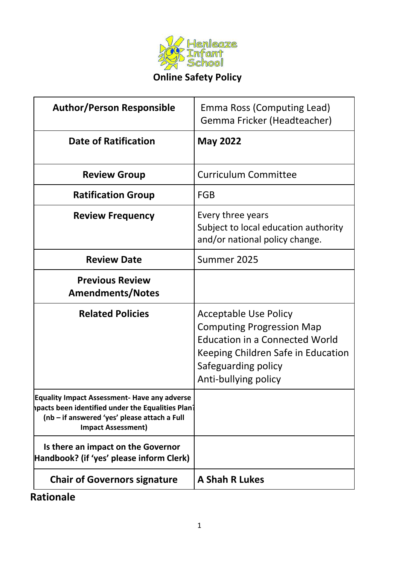

# **Online Safety Policy**

| <b>Author/Person Responsible</b>                                                                                                                                                      | Emma Ross (Computing Lead)<br>Gemma Fricker (Headteacher)                                                                                                                                      |
|---------------------------------------------------------------------------------------------------------------------------------------------------------------------------------------|------------------------------------------------------------------------------------------------------------------------------------------------------------------------------------------------|
| <b>Date of Ratification</b>                                                                                                                                                           | <b>May 2022</b>                                                                                                                                                                                |
| <b>Review Group</b>                                                                                                                                                                   | <b>Curriculum Committee</b>                                                                                                                                                                    |
| <b>Ratification Group</b>                                                                                                                                                             | <b>FGB</b>                                                                                                                                                                                     |
| <b>Review Frequency</b>                                                                                                                                                               | Every three years<br>Subject to local education authority<br>and/or national policy change.                                                                                                    |
| <b>Review Date</b>                                                                                                                                                                    | Summer 2025                                                                                                                                                                                    |
| <b>Previous Review</b><br><b>Amendments/Notes</b>                                                                                                                                     |                                                                                                                                                                                                |
| <b>Related Policies</b>                                                                                                                                                               | <b>Acceptable Use Policy</b><br><b>Computing Progression Map</b><br><b>Education in a Connected World</b><br>Keeping Children Safe in Education<br>Safeguarding policy<br>Anti-bullying policy |
| <b>Equality Impact Assessment- Have any adverse</b><br>hpacts been identified under the Equalities Plan?<br>(nb - if answered 'yes' please attach a Full<br><b>Impact Assessment)</b> |                                                                                                                                                                                                |
| Is there an impact on the Governor<br>Handbook? (if 'yes' please inform Clerk)                                                                                                        |                                                                                                                                                                                                |
| <b>Chair of Governors signature</b>                                                                                                                                                   | <b>A Shah R Lukes</b>                                                                                                                                                                          |

# **Rationale**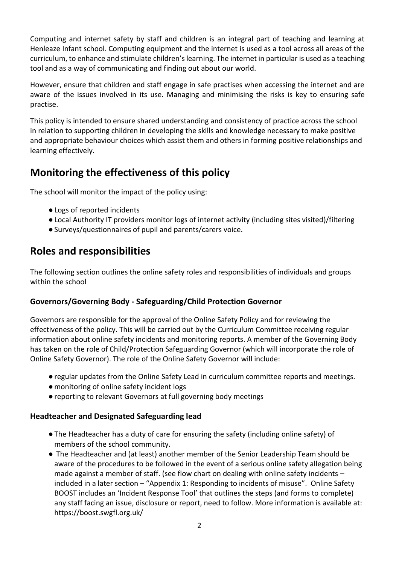Computing and internet safety by staff and children is an integral part of teaching and learning at Henleaze Infant school. Computing equipment and the internet is used as a tool across all areas of the curriculum, to enhance and stimulate children's learning. The internet in particular is used as a teaching tool and as a way of communicating and finding out about our world.

However, ensure that children and staff engage in safe practises when accessing the internet and are aware of the issues involved in its use. Managing and minimising the risks is key to ensuring safe practise.

This policy is intended to ensure shared understanding and consistency of practice across the school in relation to supporting children in developing the skills and knowledge necessary to make positive and appropriate behaviour choices which assist them and others in forming positive relationships and learning effectively.

## **Monitoring the effectiveness of this policy**

The school will monitor the impact of the policy using:

- ●Logs of reported incidents
- ●Local Authority IT providers monitor logs of internet activity (including sites visited)/filtering
- ●Surveys/questionnaires of pupil and parents/carers voice.

### **Roles and responsibilities**

The following section outlines the online safety roles and responsibilities of individuals and groups within the school

#### **Governors/Governing Body - Safeguarding/Child Protection Governor**

Governors are responsible for the approval of the Online Safety Policy and for reviewing the effectiveness of the policy. This will be carried out by the Curriculum Committee receiving regular information about online safety incidents and monitoring reports. A member of the Governing Body has taken on the role of Child/Protection Safeguarding Governor (which will incorporate the role of Online Safety Governor). The role of the Online Safety Governor will include:

- ●regular updates from the Online Safety Lead in curriculum committee reports and meetings.
- ●monitoring of online safety incident logs
- ●reporting to relevant Governors at full governing body meetings

#### **Headteacher and Designated Safeguarding lead**

- ●The Headteacher has a duty of care for ensuring the safety (including online safety) of members of the school community.
- The Headteacher and (at least) another member of the Senior Leadership Team should be aware of the procedures to be followed in the event of a serious online safety allegation being made against a member of staff. (see flow chart on dealing with online safety incidents – included in a later section – "Appendix 1: Responding to incidents of misuse". Online Safety BOOST includes an 'Incident Response Tool' that outlines the steps (and forms to complete) any staff facing an issue, disclosure or report, need to follow. More information is available at[:](https://boost.swgfl.org.uk/) <https://boost.swgfl.org.uk/>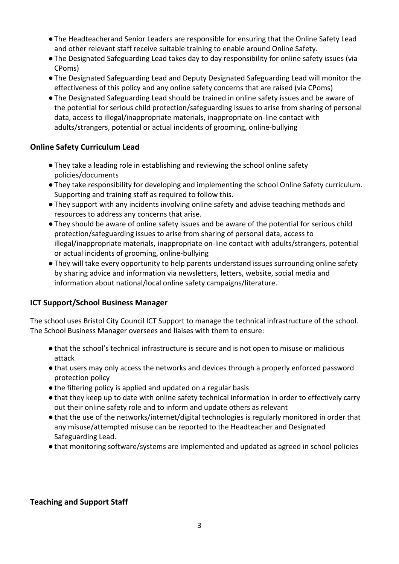- ●The Headteacherand Senior Leaders are responsible for ensuring that the Online Safety Lead and other relevant staff receive suitable training to enable around Online Safety.
- ●The Designated Safeguarding Lead takes day to day responsibility for online safety issues (via CPoms)
- ●The Designated Safeguarding Lead and Deputy Designated Safeguarding Lead will monitor the effectiveness of this policy and any online safety concerns that are raised (via CPoms)
- ●The Designated Safeguarding Lead should be trained in online safety issues and be aware of the potential for serious child protection/safeguarding issues to arise from sharing of personal data, access to illegal/inappropriate materials, inappropriate on-line contact with adults/strangers, potential or actual incidents of grooming, online-bullying

#### **Online Safety Curriculum Lead**

- ●They take a leading role in establishing and reviewing the school online safety policies/documents
- ●They take responsibility for developing and implementing the school Online Safety curriculum. Supporting and training staff as required to follow this.
- ●They support with any incidents involving online safety and advise teaching methods and resources to address any concerns that arise.
- ●They should be aware of online safety issues and be aware of the potential for serious child protection/safeguarding issues to arise from sharing of personal data, access to illegal/inappropriate materials, inappropriate on-line contact with adults/strangers, potential or actual incidents of grooming, online-bullying
- ●They will take every opportunity to help parents understand issues surrounding online safety by sharing advice and information via newsletters, letters, website, social media and information about national/local online safety campaigns/literature.

#### **ICT Support/School Business Manager**

The school uses Bristol City Council ICT Support to manage the technical infrastructure of the school. The School Business Manager oversees and liaises with them to ensure:

- ●that the school's technical infrastructure is secure and is not open to misuse or malicious attack
- ●that users may only access the networks and devices through a properly enforced password protection policy
- ●the filtering policy is applied and updated on a regular basis
- ●that they keep up to date with online safety technical information in order to effectively carry out their online safety role and to inform and update others as relevant
- ●that the use of the networks/internet/digital technologies is regularly monitored in order that any misuse/attempted misuse can be reported to the Headteacher and Designated Safeguarding Lead.
- ●that monitoring software/systems are implemented and updated as agreed in school policies

#### **Teaching and Support Staff**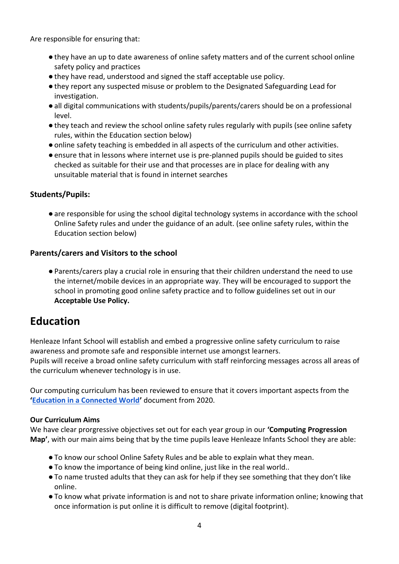Are responsible for ensuring that:

- ●they have an up to date awareness of online safety matters and of the current school online safety policy and practices
- ●they have read, understood and signed the staff acceptable use policy.
- ●they report any suspected misuse or problem to the Designated Safeguarding Lead for investigation.
- ●all digital communications with students/pupils/parents/carers should be on a professional level.
- ●they teach and review the school online safety rules regularly with pupils (see online safety rules, within the Education section below)
- ●online safety teaching is embedded in all aspects of the curriculum and other activities.
- ●ensure that in lessons where internet use is pre-planned pupils should be guided to sites checked as suitable for their use and that processes are in place for dealing with any unsuitable material that is found in internet searches

#### **Students/Pupils:**

●are responsible for using the school digital technology systems in accordance with the school Online Safety rules and under the guidance of an adult. (see online safety rules, within the Education section below)

#### **Parents/carers and Visitors to the school**

●Parents/carers play a crucial role in ensuring that their children understand the need to use the internet/mobile devices in an appropriate way. They will be encouraged to support the school in promoting good online safety practice and to follow guidelines set out in our **Acceptable Use Policy.**

### **Education**

Henleaze Infant School will establish and embed a progressive online safety curriculum to raise awareness and promote safe and responsible internet use amongst learners. Pupils will receive a broad online safety curriculum with staff reinforcing messages across all areas of the curriculum whenever technology is in use.

Our computing curriculum has been reviewed to ensure that it covers important aspects from the **'[Education in a Connected World](https://www.gov.uk/government/publications/education-for-a-connected-world)'** document from 2020.

#### **Our Curriculum Aims**

We have clear prorgressive objectives set out for each year group in our **'Computing Progression Map'**, with our main aims being that by the time pupils leave Henleaze Infants School they are able:

- ●To know our school Online Safety Rules and be able to explain what they mean.
- ●To know the importance of being kind online, just like in the real world..
- ●To name trusted adults that they can ask for help if they see something that they don't like online.
- ●To know what private information is and not to share private information online; knowing that once information is put online it is difficult to remove (digital footprint).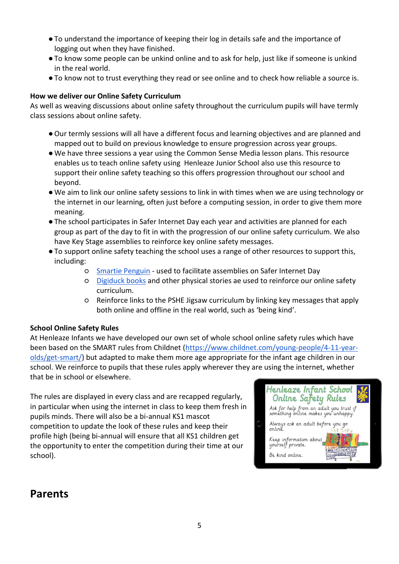- ●To understand the importance of keeping their log in details safe and the importance of logging out when they have finished.
- ●To know some people can be unkind online and to ask for help, just like if someone is unkind in the real world.
- ●To know not to trust everything they read or see online and to check how reliable a source is.

#### **How we deliver our Online Safety Curriculum**

As well as weaving discussions about online safety throughout the curriculum pupils will have termly class sessions about online safety.

- ●Our termly sessions will all have a different focus and learning objectives and are planned and mapped out to build on previous knowledge to ensure progression across year groups.
- ●We have three sessions a year using the [Common Sense Media](https://www.commonsense.org/education/) lesson plans. This resource enables us to teach online safety using Henleaze Junior School also use this resource to support their online safety teaching so this offers progression throughout our school and beyond.
- ●We aim to link our online safety sessions to link in with times when we are using technology or the internet in our learning, often just before a computing session, in order to give them more meaning.
- ●The school participates in Safer Internet Day each year and activities are planned for each group as part of the day to fit in with the progression of our online safety curriculum. We also have Key Stage assemblies to reinforce key online safety messages.
- ●To support online safety teaching the school uses a range of other resources to support this, including:
	- [Smartie Penguin](https://www.childnet.com/resources/smartie-the-penguin/) used to facilitate assemblies on Safer Internet Day
	- [Digiduck books](https://www.childnet.com/resources/digiduck-stories/) and other physical stories ae used to reinforce our online safety curriculum.
	- Reinforce links to the PSHE Jigsaw curriculum by linking key messages that apply both online and offline in the real world, such as 'being kind'.

#### **School Online Safety Rules**

At Henleaze Infants we have developed our own set of whole school online safety rules which have been based on the SMART rules from Childnet [\(https://www.childnet.com/young-people/4-11-year](https://www.childnet.com/young-people/4-11-year-olds/get-smart/)[olds/get-smart/\)](https://www.childnet.com/young-people/4-11-year-olds/get-smart/) but adapted to make them more age appropriate for the infant age children in our school. We reinforce to pupils that these rules apply wherever they are using the internet, whether that be in school or elsewhere.

The rules are displayed in every class and are recapped regularly, in particular when using the internet in class to keep them fresh in pupils minds. There will also be a bi-annual KS1 mascot competition to update the look of these rules and keep their profile high (being bi-annual will ensure that all KS1 children get the opportunity to enter the competition during their time at our school).



## **Parents**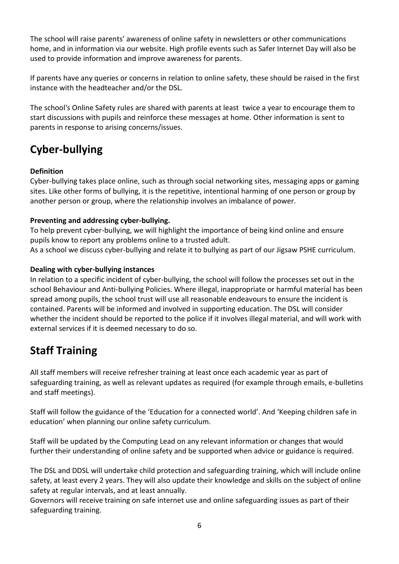The school will raise parents' awareness of online safety in newsletters or other communications home, and in information via our website. High profile events such as Safer Internet Day will also be used to provide information and improve awareness for parents.

If parents have any queries or concerns in relation to online safety, these should be raised in the first instance with the headteacher and/or the DSL.

The school's Online Safety rules are shared with parents at least twice a year to encourage them to start discussions with pupils and reinforce these messages at home. Other information is sent to parents in response to arising concerns/issues.

# **Cyber-bullying**

#### **Definition**

Cyber-bullying takes place online, such as through social networking sites, messaging apps or gaming sites. Like other forms of bullying, it is the repetitive, intentional harming of one person or group by another person or group, where the relationship involves an imbalance of power.

#### **Preventing and addressing cyber-bullying.**

To help prevent cyber-bullying, we will highlight the importance of being kind online and ensure pupils know to report any problems online to a trusted adult.

As a school we discuss cyber-bullying and relate it to bullying as part of our Jigsaw PSHE curriculum.

#### **Dealing with cyber-bullying instances**

In relation to a specific incident of cyber-bullying, the school will follow the processes set out in the school Behaviour and Anti-bullying Policies. Where illegal, inappropriate or harmful material has been spread among pupils, the school trust will use all reasonable endeavours to ensure the incident is contained. Parents will be informed and involved in supporting education. The DSL will consider whether the incident should be reported to the police if it involves illegal material, and will work with external services if it is deemed necessary to do so.

# **Staff Training**

All staff members will receive refresher training at least once each academic year as part of safeguarding training, as well as relevant updates as required (for example through emails, e-bulletins and staff meetings).

Staff will follow the guidance of the 'Education for a connected world'. And 'Keeping children safe in education' when planning our online safety curriculum.

Staff will be updated by the Computing Lead on any relevant information or changes that would further their understanding of online safety and be supported when advice or guidance is required.

The DSL and DDSL will undertake child protection and safeguarding training, which will include online safety, at least every 2 years. They will also update their knowledge and skills on the subject of online safety at regular intervals, and at least annually.

Governors will receive training on safe internet use and online safeguarding issues as part of their safeguarding training.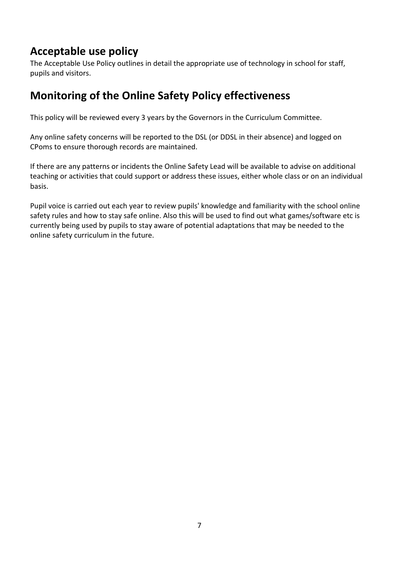# **Acceptable use policy**

The Acceptable Use Policy outlines in detail the appropriate use of technology in school for staff, pupils and visitors.

## **Monitoring of the Online Safety Policy effectiveness**

This policy will be reviewed every 3 years by the Governors in the Curriculum Committee.

Any online safety concerns will be reported to the DSL (or DDSL in their absence) and logged on CPoms to ensure thorough records are maintained.

If there are any patterns or incidents the Online Safety Lead will be available to advise on additional teaching or activities that could support or address these issues, either whole class or on an individual basis.

Pupil voice is carried out each year to review pupils' knowledge and familiarity with the school online safety rules and how to stay safe online. Also this will be used to find out what games/software etc is currently being used by pupils to stay aware of potential adaptations that may be needed to the online safety curriculum in the future.